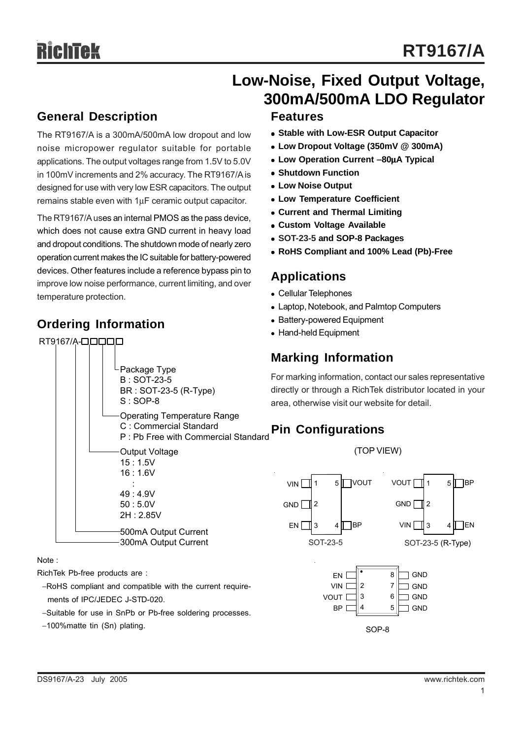## **Low-Noise, Fixed Output Voltage, 300mA/500mA LDO Regulator**

## **General Description**

The RT9167/A is a 300mA/500mA low dropout and low noise micropower regulator suitable for portable applications. The output voltages range from 1.5V to 5.0V in 100mV increments and 2% accuracy. The RT9167/A is designed for use with very low ESR capacitors. The output remains stable even with 1μF ceramic output capacitor.

The RT9167/A uses an internal PMOS as the pass device, which does not cause extra GND current in heavy load and dropout conditions. The shutdown mode of nearly zero operation current makes the IC suitable for battery-powered devices. Other features include a reference bypass pin to improve low noise performance, current limiting, and over temperature protection.

## **Ordering Information**

### RT9167/A-**QQQQ**



#### Note :

RichTek Pb-free products are :

- −RoHS compliant and compatible with the current require ments of IPC/JEDEC J-STD-020.
- −Suitable for use in SnPb or Pb-free soldering processes.
- −100%matte tin (Sn) plating.

## **Features**

- **Stable with Low-ESR Output Capacitor**
- <sup>z</sup> **Low Dropout Voltage (350mV @ 300mA)**
- <sup>z</sup> **Low Operation Current** −**80**μ**A Typical**
- **Shutdown Function**
- **Low Noise Output**
- **Low Temperature Coefficient**
- **Current and Thermal Limiting**
- **Custom Voltage Available**
- <sup>z</sup> **SOT-23-5 and SOP-8 Packages**
- <sup>z</sup> **RoHS Compliant and 100% Lead (Pb)-Free**

## **Applications**

- Cellular Telephones
- Laptop, Notebook, and Palmtop Computers
- Battery-powered Equipment
- Hand-held Equipment

## **Marking Information**

For marking information, contact our sales representative directly or through a RichTek distributor located in your area, otherwise visit our website for detail.

## **Pin Configurations**



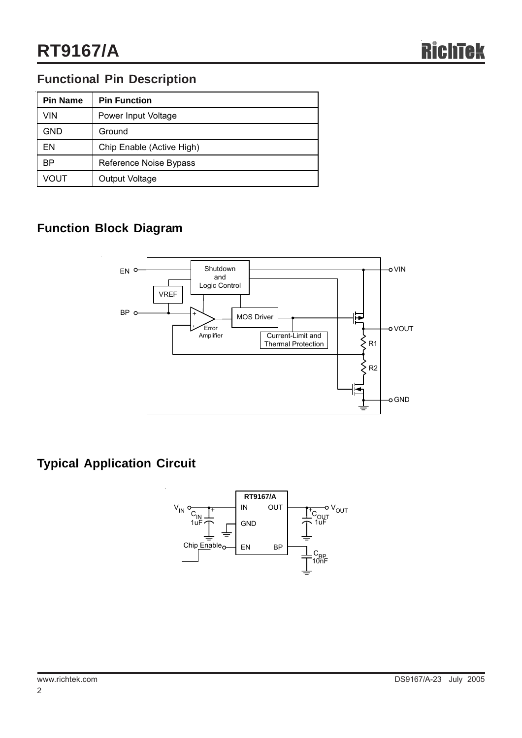## **Functional Pin Description**

| <b>Pin Name</b> | <b>Pin Function</b>       |
|-----------------|---------------------------|
| VIN             | Power Input Voltage       |
| <b>GND</b>      | Ground                    |
| FΝ              | Chip Enable (Active High) |
| ВP              | Reference Noise Bypass    |
| VOUT            | Output Voltage            |

## **Function Block Diagram**



## **Typical Application Circuit**

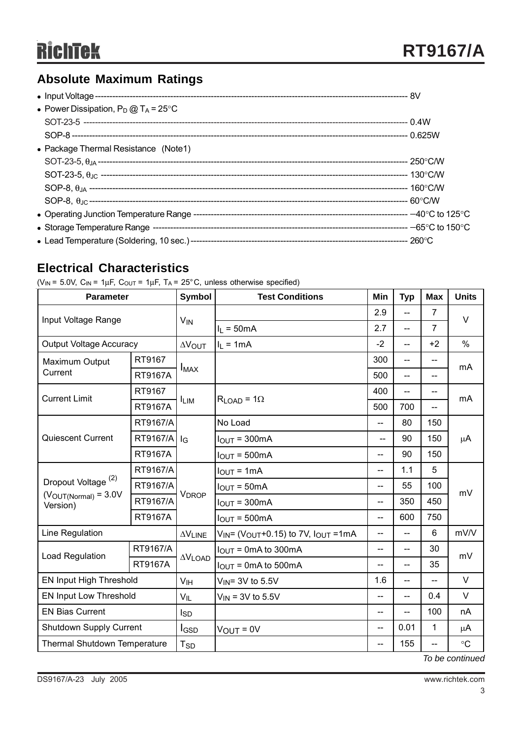## **Absolute Maximum Ratings**

| • Power Dissipation, $P_D @ T_A = 25^{\circ}C$ |  |
|------------------------------------------------|--|
|                                                |  |
|                                                |  |
| • Package Thermal Resistance (Note1)           |  |
|                                                |  |
|                                                |  |
|                                                |  |
|                                                |  |
|                                                |  |
|                                                |  |
|                                                |  |

## **Electrical Characteristics**

( $V_{IN}$  = 5.0V,  $C_{IN}$  = 1 $\mu$ F,  $C_{OUT}$  = 1 $\mu$ F, T<sub>A</sub> = 25°C, unless otherwise specified)

| <b>Parameter</b>                       |                | <b>Symbol</b>              | <b>Test Conditions</b>                                  | Min                          | <b>Typ</b>     | <b>Max</b>     | <b>Units</b> |  |
|----------------------------------------|----------------|----------------------------|---------------------------------------------------------|------------------------------|----------------|----------------|--------------|--|
| Input Voltage Range                    |                | <b>V<sub>IN</sub></b>      |                                                         | 2.9                          | --             | $\overline{7}$ | $\vee$       |  |
|                                        |                |                            | $I_L = 50mA$                                            | 2.7<br>$\overline{7}$<br>$-$ |                |                |              |  |
| <b>Output Voltage Accuracy</b>         |                | <b>AVOUT</b>               | $I_1 = 1mA$                                             | $-2$                         | $\overline{a}$ | $+2$           | $\%$         |  |
| Maximum Output<br>Current              | RT9167         | $I_{MAX}$                  |                                                         | 300                          | $\overline{a}$ | --             | mA           |  |
|                                        | <b>RT9167A</b> |                            |                                                         | 500                          | --             | $-$            |              |  |
| <b>Current Limit</b>                   | RT9167         |                            |                                                         | 400                          | $-$            | $-$            | mA           |  |
|                                        | <b>RT9167A</b> | <b>ILIM</b>                | $R_{LOAD} = 1\Omega$                                    | 500                          | 700            | $\overline{a}$ |              |  |
|                                        | RT9167/A       | $I_G$                      | No Load                                                 | $-$                          | 80             | 150            | $\mu$ A      |  |
| Quiescent Current                      | RT9167/A       |                            | $IOUT = 300mA$                                          | $\overline{a}$               | 90             | 150            |              |  |
|                                        | <b>RT9167A</b> |                            | $IOUT = 500mA$                                          | --                           | 90             | 150            |              |  |
|                                        | RT9167/A       | <b>VDROP</b>               | $IOUT = 1mA$                                            | $-$                          | 1.1            | 5              | mV           |  |
| Dropout Voltage <sup>(2)</sup>         | RT9167/A       |                            | $I_{OUT} = 50mA$                                        | $-$                          | 55             | 100            |              |  |
| $(V_{OUT(Normal)} = 3.0V)$<br>Version) | RT9167/A       |                            | $IOUT = 300mA$                                          | --                           | 350            | 450            |              |  |
|                                        | <b>RT9167A</b> |                            | $IOUT = 500mA$                                          | --                           | 600            | 750            |              |  |
| Line Regulation                        |                | $\Delta\rm{V}_{\rm{LINE}}$ | $V_{IN}$ (V <sub>OUT</sub> +0.15) to 7V, $I_{OUT}$ =1mA | --                           | $\overline{a}$ | $6\phantom{1}$ | mV/V         |  |
| Load Regulation                        | RT9167/A       | $\Delta V$ LOAD            | $IOUT = 0mA$ to 300mA                                   | --                           | --             | 30             | mV           |  |
|                                        | <b>RT9167A</b> |                            | $IOUT = 0mA$ to 500mA                                   | $-$                          | --             | 35             |              |  |
| EN Input High Threshold                |                | V <sub>IH</sub>            | $V_{IN}$ = 3V to 5.5V                                   | 1.6                          | --             | --             | V            |  |
| EN Input Low Threshold                 |                | $V_{IL}$                   | $V_{IN}$ = 3V to 5.5V                                   | --                           | --             | 0.4            | $\vee$       |  |
| <b>EN Bias Current</b>                 |                | Isp                        |                                                         | --                           | --             | 100            | nA           |  |
| <b>Shutdown Supply Current</b>         |                | I <sub>GSD</sub>           | $V_{OUT} = 0V$                                          | $-$                          | 0.01           | 1              | μ $A$        |  |
| Thermal Shutdown Temperature           |                | <b>T<sub>SD</sub></b>      |                                                         | $-$                          | 155            | $-$            | $\circ$ C    |  |
| To be continued                        |                |                            |                                                         |                              |                |                |              |  |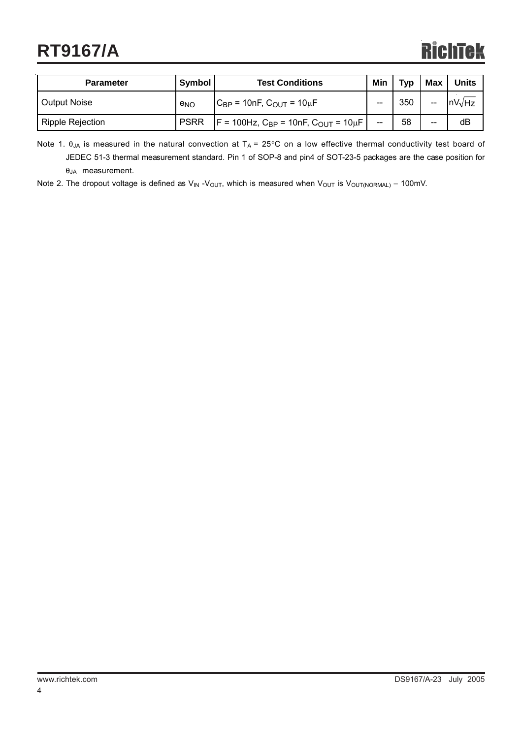## **RT9167/A**

# **RichTek**

| <b>Parameter</b>        | Symbol          | <b>Test Conditions</b>                                        |    | <b>Typ</b> | Max   | <b>Units</b>                  |
|-------------------------|-----------------|---------------------------------------------------------------|----|------------|-------|-------------------------------|
| Output Noise            | e <sub>NO</sub> | $C_{BP}$ = 10nF, $C_{OUT}$ = 10 $\mu$ F                       | -- | 350        | --    | $\mathsf{InV}\vee\mathsf{Hz}$ |
| <b>Ripple Rejection</b> | <b>PSRR</b>     | $F = 100$ Hz, C <sub>BP</sub> = 10nF, C <sub>OUT</sub> = 10µF | -- | 58         | $- -$ | dB                            |

Note 1.  $\theta_{JA}$  is measured in the natural convection at T<sub>A</sub> = 25°C on a low effective thermal conductivity test board of JEDEC 51-3 thermal measurement standard. Pin 1 of SOP-8 and pin4 of SOT-23-5 packages are the case position for θJA measurement.

Note 2. The dropout voltage is defined as V<sub>IN</sub> -V<sub>OUT</sub>, which is measured when V<sub>OUT</sub> is V<sub>OUT(NORMAL)</sub> – 100mV.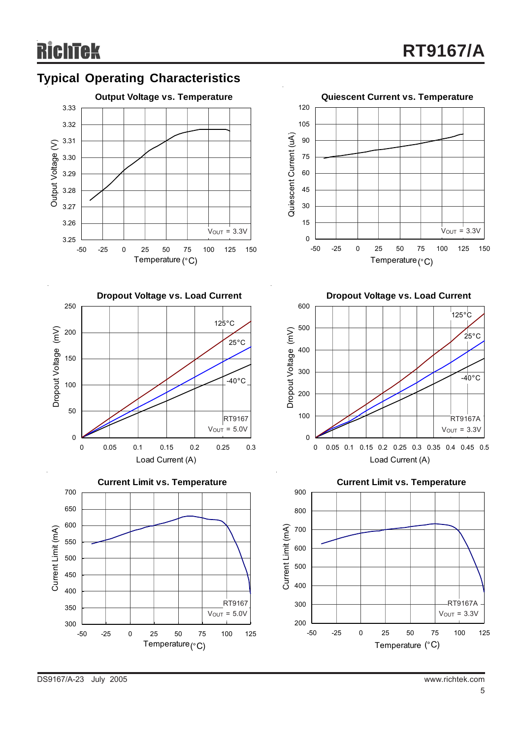











**Dropout Voltage vs. Load Current**



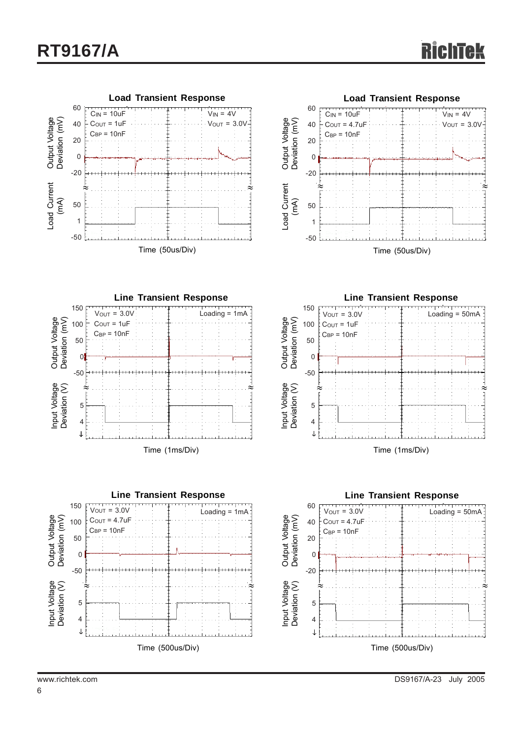



**Line Transient Response**<br>V<sub>OUT</sub> = 3.0V 150 Loading = 1mA Output Voltage<br>Deviation (mV) Deviation (mV) Output Voltage  $C<sub>OUT</sub> = 1uF$  100  $C_{BP} = 10nF$  50 0 -50 Input Voltage<br>Deviation (V) ≈ ≈Input Voltage Deviation (V) 5 4  $\downarrow$ Time (1ms/Div)





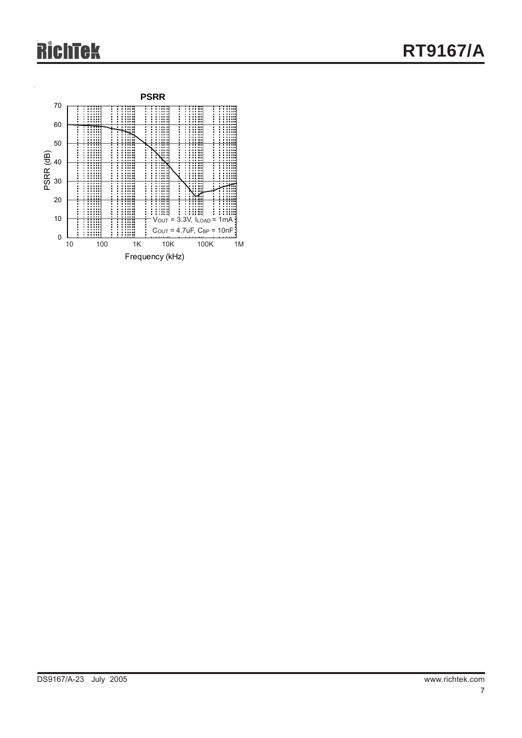# **RichTek**

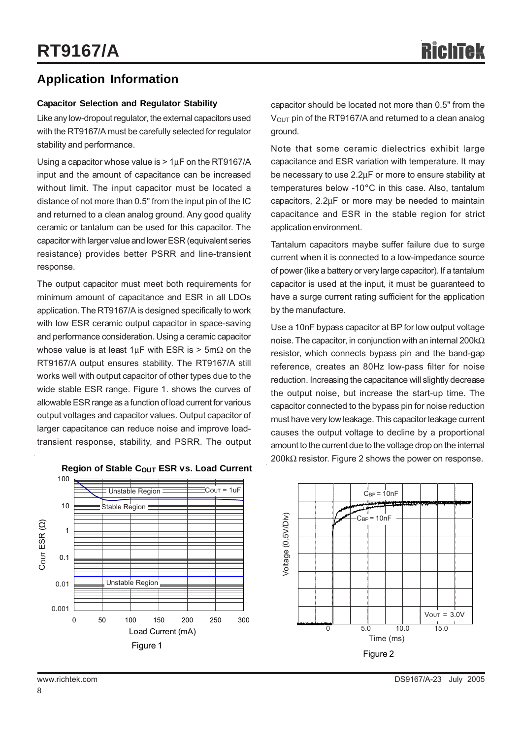## **Application Information**

#### **Capacitor Selection and Regulator Stability**

Like any low-dropout regulator, the external capacitors used with the RT9167/A must be carefully selected for regulator stability and performance.

Using a capacitor whose value is  $> 1 \mu$ F on the RT9167/A input and the amount of capacitance can be increased without limit. The input capacitor must be located a distance of not more than 0.5" from the input pin of the IC and returned to a clean analog ground. Any good quality ceramic or tantalum can be used for this capacitor. The capacitor with larger value and lower ESR (equivalent series resistance) provides better PSRR and line-transient response.

The output capacitor must meet both requirements for minimum amount of capacitance and ESR in all LDOs application. The RT9167/A is designed specifically to work with low ESR ceramic output capacitor in space-saving and performance consideration. Using a ceramic capacitor whose value is at least  $1 \mu$ F with ESR is > 5m $\Omega$  on the RT9167/A output ensures stability. The RT9167/A still works well with output capacitor of other types due to the wide stable ESR range. Figure 1. shows the curves of allowable ESR range as a function of load current for various output voltages and capacitor values. Output capacitor of larger capacitance can reduce noise and improve loadtransient response, stability, and PSRR. The output capacitor should be located not more than 0.5" from the  $V<sub>OUT</sub>$  pin of the RT9167/A and returned to a clean analog ground.

Note that some ceramic dielectrics exhibit large capacitance and ESR variation with temperature. It may be necessary to use 2.2μF or more to ensure stability at temperatures below -10°C in this case. Also, tantalum capacitors, 2.2μF or more may be needed to maintain capacitance and ESR in the stable region for strict application environment.

Tantalum capacitors maybe suffer failure due to surge current when it is connected to a low-impedance source of power (like a battery or very large capacitor). If a tantalum capacitor is used at the input, it must be guaranteed to have a surge current rating sufficient for the application by the manufacture.

Use a 10nF bypass capacitor at BP for low output voltage noise. The capacitor, in conjunction with an internal 200kΩ resistor, which connects bypass pin and the band-gap reference, creates an 80Hz low-pass filter for noise reduction. Increasing the capacitance will slightly decrease the output noise, but increase the start-up time. The capacitor connected to the bypass pin for noise reduction must have very low leakage. This capacitor leakage current causes the output voltage to decline by a proportional amount to the current due to the voltage drop on the internal 200kΩ resistor. Figure 2 shows the power on response.



#### **Region of Stable COUT ESR vs. Load Current**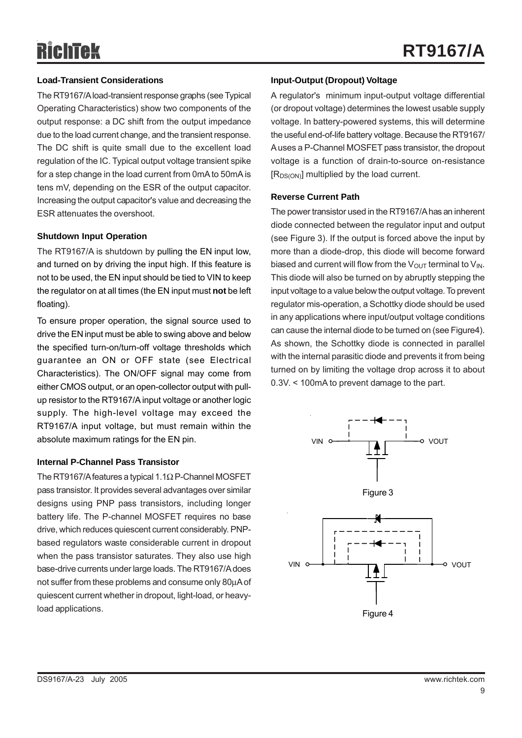#### **Load-Transient Considerations**

The RT9167/A load-transient response graphs (see Typical Operating Characteristics) show two components of the output response: a DC shift from the output impedance due to the load current change, and the transient response. The DC shift is quite small due to the excellent load regulation of the IC. Typical output voltage transient spike for a step change in the load current from 0mA to 50mA is tens mV, depending on the ESR of the output capacitor. Increasing the output capacitor's value and decreasing the ESR attenuates the overshoot.

#### **Shutdown Input Operation**

The RT9167/A is shutdown by pulling the EN input low, and turned on by driving the input high. If this feature is not to be used, the EN input should be tied to VIN to keep the regulator on at all times (the EN input must **not** be left floating).

To ensure proper operation, the signal source used to drive the EN input must be able to swing above and below the specified turn-on/turn-off voltage thresholds which guarantee an ON or OFF state (see Electrical Characteristics). The ON/OFF signal may come from either CMOS output, or an open-collector output with pullup resistor to the RT9167/A input voltage or another logic supply. The high-level voltage may exceed the RT9167/A input voltage, but must remain within the absolute maximum ratings for the EN pin.

#### **Internal P-Channel Pass Transistor**

The RT9167/A features a typical 1.1Ω P-Channel MOSFET pass transistor. It provides several advantages over similar designs using PNP pass transistors, including longer battery life. The P-channel MOSFET requires no base drive, which reduces quiescent current considerably. PNPbased regulators waste considerable current in dropout when the pass transistor saturates. They also use high base-drive currents under large loads. The RT9167/A does not suffer from these problems and consume only 80μA of quiescent current whether in dropout, light-load, or heavyload applications.

#### **Input-Output (Dropout) Voltage**

A regulator's minimum input-output voltage differential (or dropout voltage) determines the lowest usable supply voltage. In battery-powered systems, this will determine the useful end-of-life battery voltage. Because the RT9167/ A uses a P-Channel MOSFET pass transistor, the dropout voltage is a function of drain-to-source on-resistance  $[R_{DS(ON)}]$  multiplied by the load current.

#### **Reverse Current Path**

The power transistor used in the RT9167/A has an inherent diode connected between the regulator input and output (see Figure 3). If the output is forced above the input by more than a diode-drop, this diode will become forward biased and current will flow from the  $V_{\text{OUT}}$  terminal to  $V_{\text{IN}}$ . This diode will also be turned on by abruptly stepping the input voltage to a value below the output voltage. To prevent regulator mis-operation, a Schottky diode should be used in any applications where input/output voltage conditions can cause the internal diode to be turned on (see Figure4). As shown, the Schottky diode is connected in parallel with the internal parasitic diode and prevents it from being turned on by limiting the voltage drop across it to about 0.3V. < 100mA to prevent damage to the part.

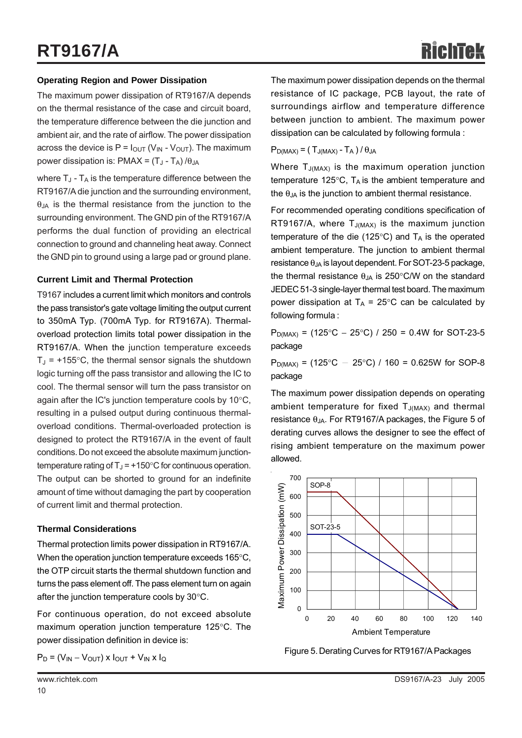#### **Operating Region and Power Dissipation**

The maximum power dissipation of RT9167/A depends on the thermal resistance of the case and circuit board, the temperature difference between the die junction and ambient air, and the rate of airflow. The power dissipation across the device is  $P = I_{\text{OUT}}(V_{\text{IN}} - V_{\text{OUT}})$ . The maximum power dissipation is:  $PMAX = (T_J - T_A)/\theta_{JA}$ 

where  $T_{J}$  -  $T_{A}$  is the temperature difference between the RT9167/A die junction and the surrounding environment,  $\theta$ <sub>JA</sub> is the thermal resistance from the junction to the surrounding environment. The GND pin of the RT9167/A performs the dual function of providing an electrical connection to ground and channeling heat away. Connect the GND pin to ground using a large pad or ground plane.

#### **Current Limit and Thermal Protection**

T9167 includes a current limit which monitors and controls the pass transistor's gate voltage limiting the output current to 350mA Typ. (700mA Typ. for RT9167A). Thermaloverload protection limits total power dissipation in the RT9167/A. When the junction temperature exceeds  $T_{\text{J}}$  = +155°C, the thermal sensor signals the shutdown logic turning off the pass transistor and allowing the IC to cool. The thermal sensor will turn the pass transistor on again after the IC's junction temperature cools by 10°C, resulting in a pulsed output during continuous thermaloverload conditions. Thermal-overloaded protection is designed to protect the RT9167/A in the event of fault conditions. Do not exceed the absolute maximum junctiontemperature rating of  $T<sub>J</sub> = +150°C$  for continuous operation. The output can be shorted to ground for an indefinite amount of time without damaging the part by cooperation of current limit and thermal protection.

#### **Thermal Considerations**

Thermal protection limits power dissipation in RT9167/A. When the operation junction temperature exceeds 165°C, the OTP circuit starts the thermal shutdown function and turns the pass element off. The pass element turn on again after the junction temperature cools by 30°C.

For continuous operation, do not exceed absolute maximum operation junction temperature 125°C. The power dissipation definition in device is:

$$
P_D = (V_{IN} - V_{OUT}) \times I_{OUT} + V_{IN} \times I_Q
$$

The maximum power dissipation depends on the thermal resistance of IC package, PCB layout, the rate of surroundings airflow and temperature difference between junction to ambient. The maximum power dissipation can be calculated by following formula :

 $P_{D(MAX)} = (T_{J(MAX)} - T_A)/\theta_{JA}$ 

Where  $T_{J(MAX)}$  is the maximum operation junction temperature 125 $\degree$ C, T<sub>A</sub> is the ambient temperature and the  $\theta_{JA}$  is the junction to ambient thermal resistance.

For recommended operating conditions specification of RT9167/A, where  $T_{J(MAX)}$  is the maximum junction temperature of the die (125 $\degree$ C) and T<sub>A</sub> is the operated ambient temperature. The junction to ambient thermal resistance  $\theta_{JA}$  is layout dependent. For SOT-23-5 package, the thermal resistance  $\theta_{JA}$  is 250°C/W on the standard JEDEC 51-3 single-layer thermal test board. The maximum power dissipation at  $T_A = 25^{\circ}$ C can be calculated by following formula :

 $P_{D(MAX)} = (125^{\circ}C - 25^{\circ}C)/250 = 0.4W$  for SOT-23-5 package

 $P_{D(MAX)} = (125^{\circ}C - 25^{\circ}C) / 160 = 0.625W$  for SOP-8 package

The maximum power dissipation depends on operating ambient temperature for fixed  $T_{J(MAX)}$  and thermal resistance  $\theta_{JA}$ . For RT9167/A packages, the Figure 5 of derating curves allows the designer to see the effect of rising ambient temperature on the maximum power allowed.



Figure 5. Derating Curves for RT9167/A Packages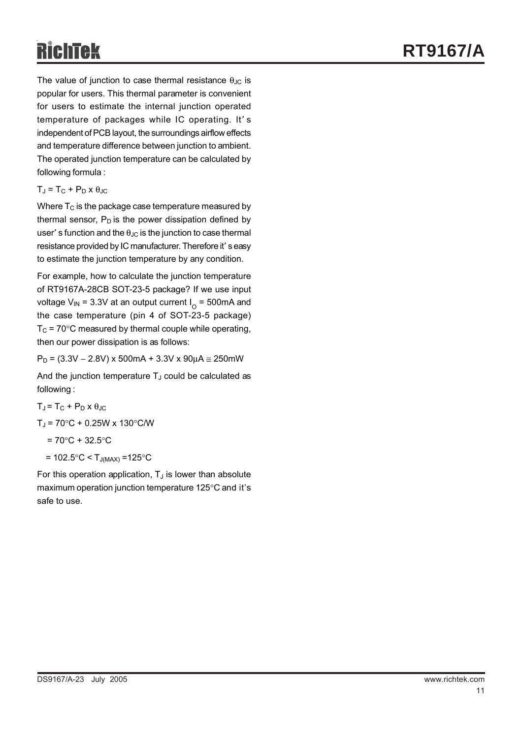The value of junction to case thermal resistance  $\theta_{JC}$  is popular for users. This thermal parameter is convenient for users to estimate the internal junction operated temperature of packages while IC operating. It' s independent of PCB layout, the surroundings airflow effects and temperature difference between junction to ambient. The operated junction temperature can be calculated by following formula :

 $T_J = T_C + P_D \times \theta_{JC}$ 

Where  $T_C$  is the package case temperature measured by thermal sensor,  $P_D$  is the power dissipation defined by user' s function and the  $\theta_{\text{JC}}$  is the junction to case thermal resistance provided by IC manufacturer. Therefore it' s easy to estimate the junction temperature by any condition.

For example, how to calculate the junction temperature of RT9167A-28CB SOT-23-5 package? If we use input voltage V<sub>IN</sub> = 3.3V at an output current  $I_{\Omega}$  = 500mA and the case temperature (pin 4 of SOT-23-5 package)  $T<sub>C</sub>$  = 70°C measured by thermal couple while operating, then our power dissipation is as follows:

 $P_D = (3.3V - 2.8V) \times 500 \text{mA} + 3.3V \times 90 \mu \text{A} \approx 250 \text{mW}$ 

And the junction temperature  $T_J$  could be calculated as following :

 $T_J = T_C + P_D \times \theta_{JC}$ 

 $T_{\rm J}$  = 70°C + 0.25W x 130°C/W

 $= 70^{\circ}C + 32.5^{\circ}C$ 

 $= 102.5^{\circ}$ C < T<sub>J(MAX)</sub> = 125 $^{\circ}$ C

For this operation application,  $T_J$  is lower than absolute maximum operation junction temperature 125°C and it's safe to use.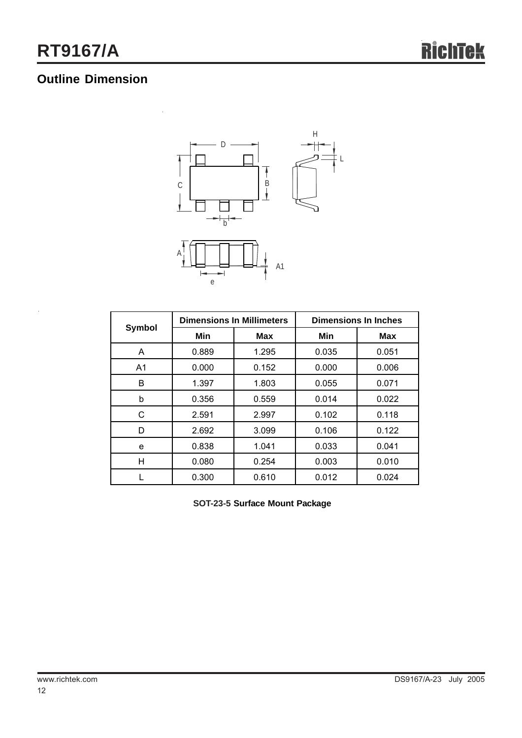## **Outline Dimension**



|                |       | <b>Dimensions In Millimeters</b> | <b>Dimensions In Inches</b> |            |  |
|----------------|-------|----------------------------------|-----------------------------|------------|--|
| <b>Symbol</b>  | Min   | Max                              | Min                         | <b>Max</b> |  |
| A              | 0.889 | 1.295                            | 0.035                       | 0.051      |  |
| A <sub>1</sub> | 0.000 | 0.152                            | 0.000                       | 0.006      |  |
| B              | 1.397 | 1.803                            | 0.055                       | 0.071      |  |
| b              | 0.356 | 0.559                            | 0.014                       | 0.022      |  |
| C              | 2.591 | 2.997                            | 0.102                       | 0.118      |  |
| D              | 2.692 | 3.099                            | 0.106                       | 0.122      |  |
| e              | 0.838 | 1.041                            | 0.033                       | 0.041      |  |
| н              | 0.080 | 0.254                            | 0.003                       | 0.010      |  |
|                | 0.300 | 0.610                            | 0.012                       | 0.024      |  |

**SOT-23-5 Surface Mount Package**